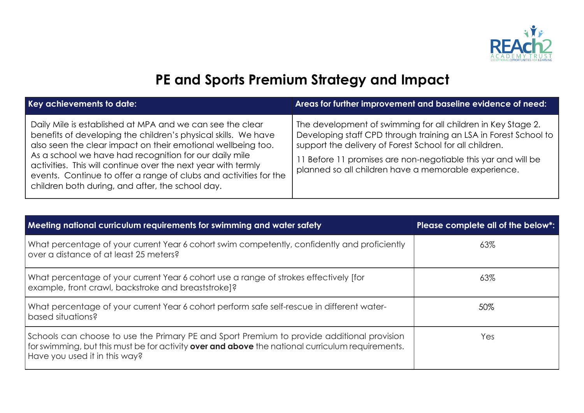

## **PE and Sports Premium Strategy and Impact**

| Key achievements to date:                                                                                                                                                                                                                                                                                                                                                                                                                       | Areas for further improvement and baseline evidence of need:                                                                                                                                                                                                                                                        |
|-------------------------------------------------------------------------------------------------------------------------------------------------------------------------------------------------------------------------------------------------------------------------------------------------------------------------------------------------------------------------------------------------------------------------------------------------|---------------------------------------------------------------------------------------------------------------------------------------------------------------------------------------------------------------------------------------------------------------------------------------------------------------------|
| Daily Mile is established at MPA and we can see the clear<br>benefits of developing the children's physical skills. We have<br>also seen the clear impact on their emotional wellbeing too.<br>As a school we have had recognition for our daily mile<br>activities. This will continue over the next year with termly<br>events. Continue to offer a range of clubs and activities for the<br>children both during, and after, the school day. | The development of swimming for all children in Key Stage 2.<br>Developing staff CPD through training an LSA in Forest School to<br>support the delivery of Forest School for all children.<br>I Before 11 promises are non-negotiable this yar and will be<br>planned so all children have a memorable experience. |

| Meeting national curriculum requirements for swimming and water safety                                                                                                                                                          | Please complete all of the below*: |
|---------------------------------------------------------------------------------------------------------------------------------------------------------------------------------------------------------------------------------|------------------------------------|
| What percentage of your current Year 6 cohort swim competently, confidently and proficiently<br>over a distance of at least 25 meters?                                                                                          | 63%                                |
| What percentage of your current Year 6 cohort use a range of strokes effectively [for<br>example, front crawl, backstroke and breaststroke]?                                                                                    | 63%                                |
| What percentage of your current Year 6 cohort perform safe self-rescue in different water-<br>based situations?                                                                                                                 | 50%                                |
| Schools can choose to use the Primary PE and Sport Premium to provide additional provision<br>for swimming, but this must be for activity over and above the national curriculum requirements.<br>Have you used it in this way? | Yes                                |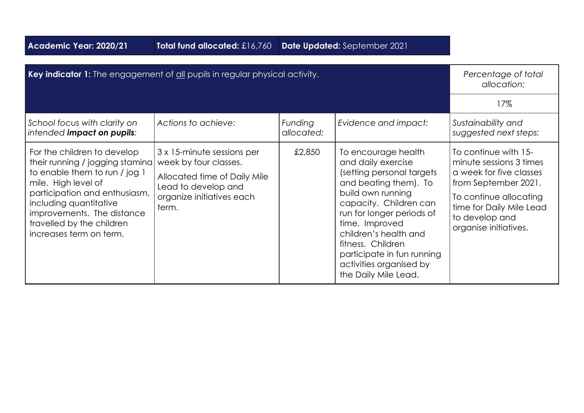| Academic Year: 2020/21                                                                                                                                                                                                                                                  | Total fund allocated: £16,760                                                                                                                    |                       | Date Updated: September 2021                                                                                                                                                                                                                                                                                                 |                                                                                                                                                                                                     |
|-------------------------------------------------------------------------------------------------------------------------------------------------------------------------------------------------------------------------------------------------------------------------|--------------------------------------------------------------------------------------------------------------------------------------------------|-----------------------|------------------------------------------------------------------------------------------------------------------------------------------------------------------------------------------------------------------------------------------------------------------------------------------------------------------------------|-----------------------------------------------------------------------------------------------------------------------------------------------------------------------------------------------------|
| Key indicator 1: The engagement of all pupils in regular physical activity.                                                                                                                                                                                             |                                                                                                                                                  |                       |                                                                                                                                                                                                                                                                                                                              | Percentage of total<br>allocation:                                                                                                                                                                  |
|                                                                                                                                                                                                                                                                         |                                                                                                                                                  |                       |                                                                                                                                                                                                                                                                                                                              | 17%                                                                                                                                                                                                 |
| School focus with clarity on<br>intended impact on pupils:                                                                                                                                                                                                              | Actions to achieve:                                                                                                                              | Funding<br>allocated: | Evidence and impact:                                                                                                                                                                                                                                                                                                         | Sustainability and<br>suggested next steps:                                                                                                                                                         |
| For the children to develop<br>their running / jogging stamina<br>to enable them to run / jog 1<br>mile. High level of<br>participation and enthusiasm,<br>including quantitative<br>improvements. The distance<br>travelled by the children<br>increases term on term. | 3 x 15-minute sessions per<br>week by four classes.<br>Allocated time of Daily Mile<br>Lead to develop and<br>organize initiatives each<br>term. | £2,850                | To encourage health<br>and daily exercise<br>(setting personal targets<br>and beating them). To<br>build own running<br>capacity. Children can<br>run for longer periods of<br>time. Improved<br>children's health and<br>fitness. Children<br>participate in fun running<br>activities organised by<br>the Daily Mile Lead. | To continue with 15-<br>minute sessions 3 times<br>a week for five classes<br>from September 2021.<br>To continue allocating<br>time for Daily Mile Lead<br>to develop and<br>organise initiatives. |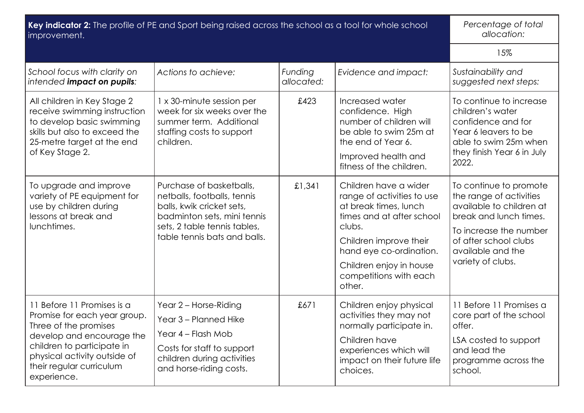| Key indicator 2: The profile of PE and Sport being raised across the school as a tool for whole school<br>improvement.                                                                                                    |                                                                                                                                                                                     |                       | Percentage of total<br>allocation:                                                                                                                                                                                                      |                                                                                                                                                                                                      |
|---------------------------------------------------------------------------------------------------------------------------------------------------------------------------------------------------------------------------|-------------------------------------------------------------------------------------------------------------------------------------------------------------------------------------|-----------------------|-----------------------------------------------------------------------------------------------------------------------------------------------------------------------------------------------------------------------------------------|------------------------------------------------------------------------------------------------------------------------------------------------------------------------------------------------------|
|                                                                                                                                                                                                                           |                                                                                                                                                                                     |                       |                                                                                                                                                                                                                                         | 15%                                                                                                                                                                                                  |
| School focus with clarity on<br>intended impact on pupils:                                                                                                                                                                | Actions to achieve:                                                                                                                                                                 | Funding<br>allocated: | Evidence and impact:                                                                                                                                                                                                                    | Sustainability and<br>suggested next steps:                                                                                                                                                          |
| All children in Key Stage 2<br>receive swimming instruction<br>to develop basic swimming<br>skills but also to exceed the<br>25-metre target at the end<br>of Key Stage 2.                                                | 1 x 30-minute session per<br>week for six weeks over the<br>summer term. Additional<br>staffing costs to support<br>children.                                                       | £423                  | Increased water<br>confidence. High<br>number of children will<br>be able to swim 25m at<br>the end of Year 6.<br>Improved health and<br>fitness of the children.                                                                       | To continue to increase<br>children's water<br>confidence and for<br>Year 6 leavers to be<br>able to swim 25m when<br>they finish Year 6 in July<br>2022.                                            |
| To upgrade and improve<br>variety of PE equipment for<br>use by children during<br>lessons at break and<br>lunchtimes.                                                                                                    | Purchase of basketballs,<br>netballs, footballs, tennis<br>balls, kwik cricket sets,<br>badminton sets, mini tennis<br>sets, 2 table tennis tables,<br>table tennis bats and balls. | £1,341                | Children have a wider<br>range of activities to use<br>at break times, lunch<br>times and at after school<br>clubs.<br>Children improve their<br>hand eye co-ordination.<br>Children enjoy in house<br>competitions with each<br>other. | To continue to promote<br>the range of activities<br>available to children at<br>break and lunch times.<br>To increase the number<br>of after school clubs<br>available and the<br>variety of clubs. |
| 11 Before 11 Promises is a<br>Promise for each year group.<br>Three of the promises<br>develop and encourage the<br>children to participate in<br>physical activity outside of<br>their regular curriculum<br>experience. | Year 2 - Horse-Riding<br>Year 3 - Planned Hike<br>Year 4 – Flash Mob<br>Costs for staff to support<br>children during activities<br>and horse-riding costs.                         | £671                  | Children enjoy physical<br>activities they may not<br>normally participate in.<br>Children have<br>experiences which will<br>impact on their future life<br>choices.                                                                    | 11 Before 11 Promises a<br>core part of the school<br>offer.<br>LSA costed to support<br>and lead the<br>programme across the<br>school.                                                             |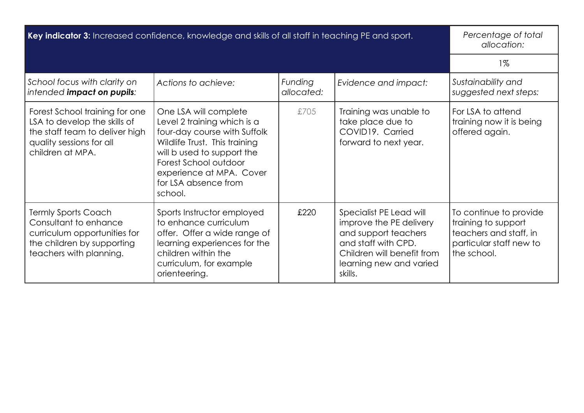| Key indicator 3: Increased confidence, knowledge and skills of all staff in teaching PE and sport.                                               |                                                                                                                                                                                                                                             |                       | Percentage of total<br>allocation:                                                                                                                                    |                                                                                                                   |
|--------------------------------------------------------------------------------------------------------------------------------------------------|---------------------------------------------------------------------------------------------------------------------------------------------------------------------------------------------------------------------------------------------|-----------------------|-----------------------------------------------------------------------------------------------------------------------------------------------------------------------|-------------------------------------------------------------------------------------------------------------------|
|                                                                                                                                                  |                                                                                                                                                                                                                                             |                       |                                                                                                                                                                       | $1\%$                                                                                                             |
| School focus with clarity on<br>intended impact on pupils:                                                                                       | Actions to achieve:                                                                                                                                                                                                                         | Funding<br>allocated: | Evidence and impact:                                                                                                                                                  | Sustainability and<br>suggested next steps:                                                                       |
| Forest School training for one<br>LSA to develop the skills of<br>the staff team to deliver high<br>quality sessions for all<br>children at MPA. | One LSA will complete<br>Level 2 training which is a<br>four-day course with Suffolk<br>Wildlife Trust. This training<br>will b used to support the<br>Forest School outdoor<br>experience at MPA. Cover<br>for LSA absence from<br>school. | £705                  | Training was unable to<br>take place due to<br>COVID19. Carried<br>forward to next year.                                                                              | For LSA to attend<br>training now it is being<br>offered again.                                                   |
| <b>Termly Sports Coach</b><br>Consultant to enhance<br>curriculum opportunities for<br>the children by supporting<br>teachers with planning.     | Sports Instructor employed<br>to enhance curriculum<br>offer. Offer a wide range of<br>learning experiences for the<br>children within the<br>curriculum, for example<br>orienteering.                                                      | £220                  | Specialist PE Lead will<br>improve the PE delivery<br>and support teachers<br>and staff with CPD.<br>Children will benefit from<br>learning new and varied<br>skills. | To continue to provide<br>training to support<br>teachers and staff, in<br>particular staff new to<br>the school. |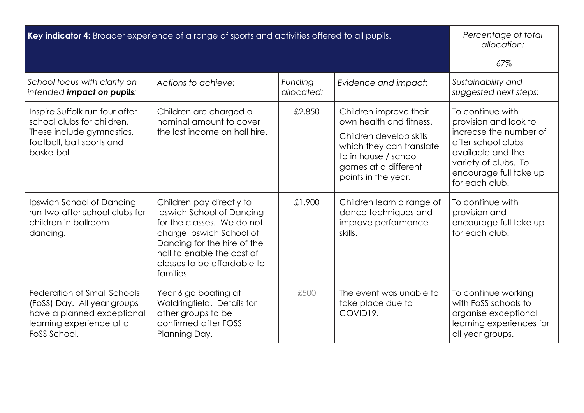| Key indicator 4: Broader experience of a range of sports and activities offered to all pupils.                                              |                                                                                                                                                                                                                          |                       | Percentage of total<br>allocation:                                                                                                                                              |                                                                                                                                                                                    |
|---------------------------------------------------------------------------------------------------------------------------------------------|--------------------------------------------------------------------------------------------------------------------------------------------------------------------------------------------------------------------------|-----------------------|---------------------------------------------------------------------------------------------------------------------------------------------------------------------------------|------------------------------------------------------------------------------------------------------------------------------------------------------------------------------------|
|                                                                                                                                             |                                                                                                                                                                                                                          |                       |                                                                                                                                                                                 | 67%                                                                                                                                                                                |
| School focus with clarity on<br>intended impact on pupils:                                                                                  | Actions to achieve:                                                                                                                                                                                                      | Funding<br>allocated: | Evidence and impact:                                                                                                                                                            | Sustainability and<br>suggested next steps:                                                                                                                                        |
| Inspire Suffolk run four after<br>school clubs for children.<br>These include gymnastics,<br>football, ball sports and<br>basketball.       | Children are charged a<br>nominal amount to cover<br>the lost income on hall hire.                                                                                                                                       | £2,850                | Children improve their<br>own health and fitness.<br>Children develop skills<br>which they can translate<br>to in house / school<br>games at a different<br>points in the year. | To continue with<br>provision and look to<br>increase the number of<br>after school clubs<br>available and the<br>variety of clubs. To<br>encourage full take up<br>for each club. |
| Ipswich School of Dancing<br>run two after school clubs for<br>children in ballroom<br>dancing.                                             | Children pay directly to<br>Ipswich School of Dancing<br>for the classes. We do not<br>charge Ipswich School of<br>Dancing for the hire of the<br>hall to enable the cost of<br>classes to be affordable to<br>families. | £1,900                | Children learn a range of<br>dance techniques and<br>improve performance<br>skills.                                                                                             | To continue with<br>provision and<br>encourage full take up<br>for each club.                                                                                                      |
| <b>Federation of Small Schools</b><br>(FoSS) Day. All year groups<br>have a planned exceptional<br>learning experience at a<br>FoSS School. | Year 6 go boating at<br>Waldringfield. Details for<br>other groups to be<br>confirmed after FOSS<br>Planning Day.                                                                                                        | £500                  | The event was unable to<br>take place due to<br>COVID19.                                                                                                                        | To continue working<br>with FoSS schools to<br>organise exceptional<br>learning experiences for<br>all year groups.                                                                |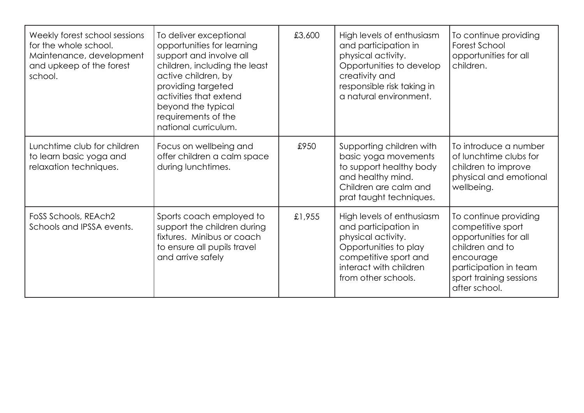| Weekly forest school sessions<br>for the whole school.<br>Maintenance, development<br>and upkeep of the forest<br>school. | To deliver exceptional<br>opportunities for learning<br>support and involve all<br>children, including the least<br>active children, by<br>providing targeted<br>activities that extend<br>beyond the typical<br>requirements of the<br>national curriculum. | £3,600 | High levels of enthusiasm<br>and participation in<br>physical activity.<br>Opportunities to develop<br>creativity and<br>responsible risk taking in<br>a natural environment. | To continue providing<br>Forest School<br>opportunities for all<br>children.                                                                                             |
|---------------------------------------------------------------------------------------------------------------------------|--------------------------------------------------------------------------------------------------------------------------------------------------------------------------------------------------------------------------------------------------------------|--------|-------------------------------------------------------------------------------------------------------------------------------------------------------------------------------|--------------------------------------------------------------------------------------------------------------------------------------------------------------------------|
| Lunchtime club for children<br>to learn basic yoga and<br>relaxation techniques.                                          | Focus on wellbeing and<br>offer children a calm space<br>during lunchtimes.                                                                                                                                                                                  | £950   | Supporting children with<br>basic yoga movements<br>to support healthy body<br>and healthy mind.<br>Children are calm and<br>prat taught techniques.                          | To introduce a number<br>of lunchtime clubs for<br>children to improve<br>physical and emotional<br>wellbeing.                                                           |
| FoSS Schools, REAch2<br>Schools and IPSSA events.                                                                         | Sports coach employed to<br>support the children during<br>fixtures. Minibus or coach<br>to ensure all pupils travel<br>and arrive safely                                                                                                                    | £1,955 | High levels of enthusiasm<br>and participation in<br>physical activity.<br>Opportunities to play<br>competitive sport and<br>interact with children<br>from other schools.    | To continue providing<br>competitive sport<br>opportunities for all<br>children and to<br>encourage<br>participation in team<br>sport training sessions<br>after school. |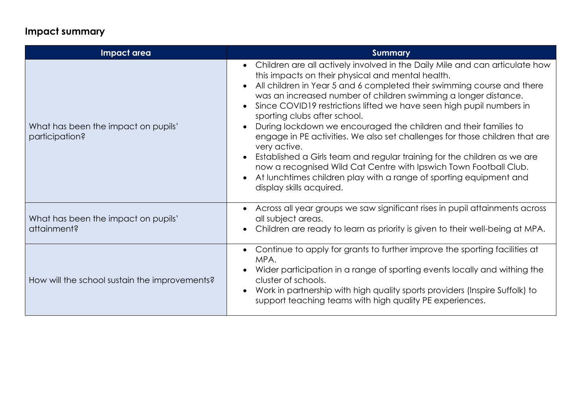## **Impact summary**

| Impact area                                           | <b>Summary</b>                                                                                                                                                                                                                                                                                                                                                                                                                                                                                                                                                                                                                                                                                                                                                                                                |
|-------------------------------------------------------|---------------------------------------------------------------------------------------------------------------------------------------------------------------------------------------------------------------------------------------------------------------------------------------------------------------------------------------------------------------------------------------------------------------------------------------------------------------------------------------------------------------------------------------------------------------------------------------------------------------------------------------------------------------------------------------------------------------------------------------------------------------------------------------------------------------|
| What has been the impact on pupils'<br>participation? | • Children are all actively involved in the Daily Mile and can articulate how<br>this impacts on their physical and mental health.<br>All children in Year 5 and 6 completed their swimming course and there<br>was an increased number of children swimming a longer distance.<br>Since COVID19 restrictions lifted we have seen high pupil numbers in<br>sporting clubs after school.<br>During lockdown we encouraged the children and their families to<br>engage in PE activities. We also set challenges for those children that are<br>very active.<br>Established a Girls team and regular training for the children as we are<br>now a recognised Wild Cat Centre with Ipswich Town Football Club.<br>At lunchtimes children play with a range of sporting equipment and<br>display skills acquired. |
| What has been the impact on pupils'<br>attainment?    | • Across all year groups we saw significant rises in pupil attainments across<br>all subject areas.<br>• Children are ready to learn as priority is given to their well-being at MPA.                                                                                                                                                                                                                                                                                                                                                                                                                                                                                                                                                                                                                         |
| How will the school sustain the improvements?         | • Continue to apply for grants to further improve the sporting facilities at<br>MPA.<br>Wider participation in a range of sporting events locally and withing the<br>cluster of schools.<br>Work in partnership with high quality sports providers (Inspire Suffolk) to<br>$\bullet$<br>support teaching teams with high quality PE experiences.                                                                                                                                                                                                                                                                                                                                                                                                                                                              |